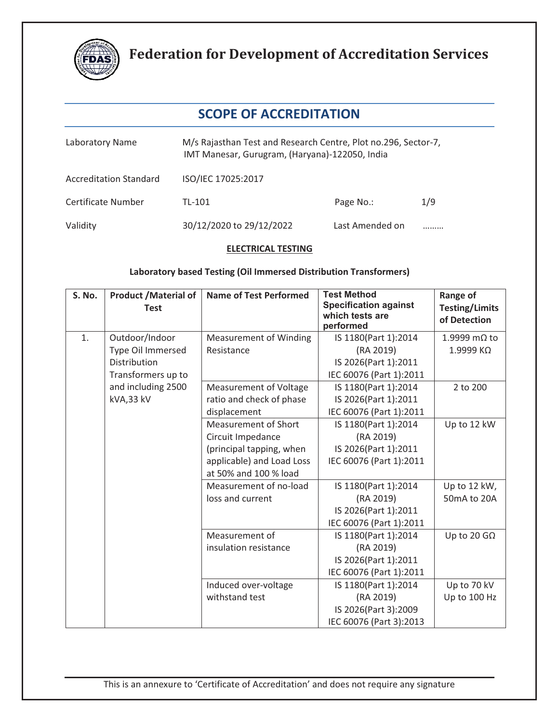

### **SCOPE OF ACCREDITATION**

| Laboratory Name               | M/s Rajasthan Test and Research Centre, Plot no.296, Sector-7,<br>IMT Manesar, Gurugram, (Haryana)-122050, India |                 |     |  |
|-------------------------------|------------------------------------------------------------------------------------------------------------------|-----------------|-----|--|
| <b>Accreditation Standard</b> | ISO/IEC 17025:2017                                                                                               |                 |     |  |
| Certificate Number            | TL-101                                                                                                           | Page No.:       | 1/9 |  |
| Validity                      | 30/12/2020 to 29/12/2022                                                                                         | Last Amended on |     |  |

#### **ELECTRICAL TESTING**

#### **Laboratory based Testing (Oil Immersed Distribution Transformers)**

| S. No. | <b>Product / Material of</b><br><b>Test</b>         | <b>Name of Test Performed</b>                                                                                                      | <b>Test Method</b><br><b>Specification against</b><br>which tests are<br>performed   | <b>Range of</b><br><b>Testing/Limits</b><br>of Detection |
|--------|-----------------------------------------------------|------------------------------------------------------------------------------------------------------------------------------------|--------------------------------------------------------------------------------------|----------------------------------------------------------|
| 1.     | Outdoor/Indoor<br>Type Oil Immersed<br>Distribution | <b>Measurement of Winding</b><br>Resistance                                                                                        | IS 1180(Part 1):2014<br>(RA 2019)<br>IS 2026(Part 1):2011                            | 1.9999 mΩ to<br>1.9999 ΚΩ                                |
|        | Transformers up to                                  |                                                                                                                                    | IEC 60076 (Part 1):2011                                                              |                                                          |
|        | and including 2500<br>kVA,33 kV                     | <b>Measurement of Voltage</b><br>ratio and check of phase<br>displacement                                                          | IS 1180(Part 1):2014<br>IS 2026(Part 1):2011<br>IEC 60076 (Part 1):2011              | 2 to 200                                                 |
|        |                                                     | <b>Measurement of Short</b><br>Circuit Impedance<br>(principal tapping, when<br>applicable) and Load Loss<br>at 50% and 100 % load | IS 1180(Part 1):2014<br>(RA 2019)<br>IS 2026(Part 1):2011<br>IEC 60076 (Part 1):2011 | Up to 12 kW                                              |
|        |                                                     | Measurement of no-load<br>loss and current                                                                                         | IS 1180(Part 1):2014<br>(RA 2019)<br>IS 2026(Part 1):2011<br>IEC 60076 (Part 1):2011 | Up to 12 kW,<br>50mA to 20A                              |
|        |                                                     | Measurement of<br>insulation resistance                                                                                            | IS 1180(Part 1):2014<br>(RA 2019)<br>IS 2026(Part 1):2011<br>IEC 60076 (Part 1):2011 | Up to 20 G $\Omega$                                      |
|        |                                                     | Induced over-voltage<br>withstand test                                                                                             | IS 1180(Part 1):2014<br>(RA 2019)<br>IS 2026(Part 3):2009<br>IEC 60076 (Part 3):2013 | Up to 70 kV<br>Up to 100 Hz                              |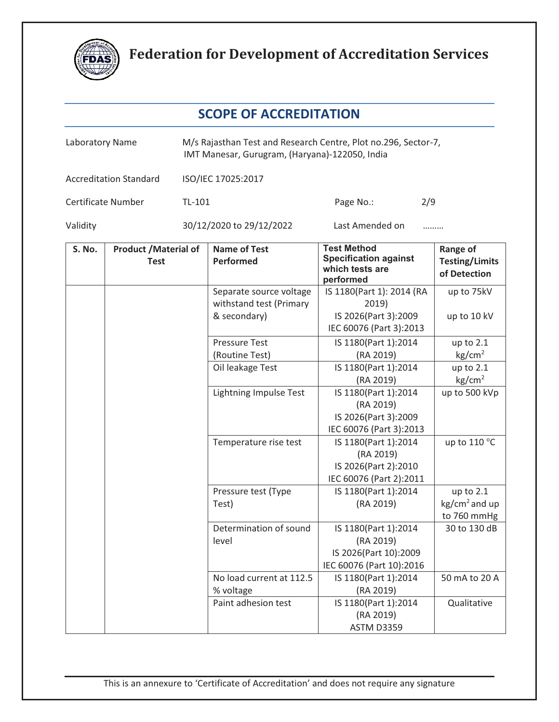

| Laboratory Name |                                             | M/s Rajasthan Test and Research Centre, Plot no.296, Sector-7,<br>IMT Manesar, Gurugram, (Haryana)-122050, India |                                                                    |                                                                                        |                                                          |
|-----------------|---------------------------------------------|------------------------------------------------------------------------------------------------------------------|--------------------------------------------------------------------|----------------------------------------------------------------------------------------|----------------------------------------------------------|
|                 | <b>Accreditation Standard</b>               |                                                                                                                  | ISO/IEC 17025:2017                                                 |                                                                                        |                                                          |
|                 | Certificate Number                          | TL-101                                                                                                           |                                                                    | 2/9<br>Page No.:                                                                       |                                                          |
| Validity        |                                             |                                                                                                                  | 30/12/2020 to 29/12/2022                                           | Last Amended on                                                                        |                                                          |
| S. No.          | <b>Product / Material of</b><br><b>Test</b> |                                                                                                                  | <b>Name of Test</b><br><b>Performed</b>                            | <b>Test Method</b><br><b>Specification against</b><br>which tests are<br>performed     | <b>Range of</b><br><b>Testing/Limits</b><br>of Detection |
|                 |                                             |                                                                                                                  | Separate source voltage<br>withstand test (Primary<br>& secondary) | IS 1180(Part 1): 2014 (RA<br>2019)<br>IS 2026(Part 3):2009<br>IEC 60076 (Part 3):2013  | up to 75kV<br>up to 10 kV                                |
|                 |                                             |                                                                                                                  | <b>Pressure Test</b><br>(Routine Test)                             | IS 1180(Part 1):2014<br>(RA 2019)                                                      | up to $2.1$<br>$\text{kg/cm}^2$                          |
|                 |                                             |                                                                                                                  | Oil leakage Test                                                   | IS 1180(Part 1):2014<br>(RA 2019)                                                      | up to $2.1$<br>kg/cm <sup>2</sup>                        |
|                 |                                             |                                                                                                                  | <b>Lightning Impulse Test</b>                                      | IS 1180(Part 1):2014<br>(RA 2019)<br>IS 2026(Part 3):2009<br>IEC 60076 (Part 3):2013   | up to 500 kVp                                            |
|                 |                                             |                                                                                                                  | Temperature rise test                                              | IS 1180(Part 1):2014<br>(RA 2019)<br>IS 2026(Part 2):2010<br>IEC 60076 (Part 2):2011   | up to 110 °C                                             |
|                 |                                             |                                                                                                                  | Pressure test (Type<br>Test)                                       | IS 1180(Part 1):2014<br>(RA 2019)                                                      | up to $2.1$<br>$kg/cm2$ and up<br>to 760 mmHg            |
|                 |                                             |                                                                                                                  | Determination of sound<br>level                                    | IS 1180(Part 1):2014<br>(RA 2019)<br>IS 2026(Part 10):2009<br>IEC 60076 (Part 10):2016 | 30 to 130 dB                                             |
|                 |                                             |                                                                                                                  | No load current at 112.5<br>% voltage                              | IS 1180(Part 1):2014<br>(RA 2019)                                                      | 50 mA to 20 A                                            |
|                 |                                             |                                                                                                                  | Paint adhesion test                                                | IS 1180(Part 1):2014<br>(RA 2019)<br><b>ASTM D3359</b>                                 | Qualitative                                              |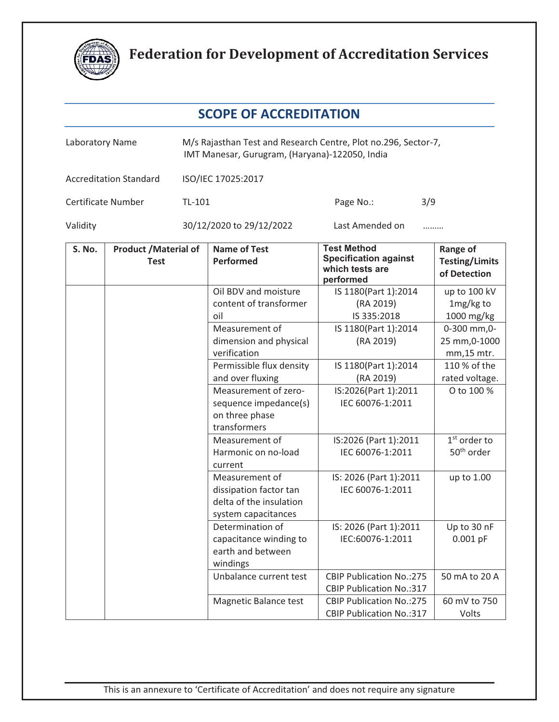

| Laboratory Name |                                             | M/s Rajasthan Test and Research Centre, Plot no.296, Sector-7,<br>IMT Manesar, Gurugram, (Haryana)-122050, India |                                                                                            |                                                                                    |                                                          |
|-----------------|---------------------------------------------|------------------------------------------------------------------------------------------------------------------|--------------------------------------------------------------------------------------------|------------------------------------------------------------------------------------|----------------------------------------------------------|
|                 | <b>Accreditation Standard</b>               |                                                                                                                  | ISO/IEC 17025:2017                                                                         |                                                                                    |                                                          |
|                 | Certificate Number                          | TL-101                                                                                                           |                                                                                            | 3/9<br>Page No.:                                                                   |                                                          |
| Validity        |                                             |                                                                                                                  | 30/12/2020 to 29/12/2022                                                                   | Last Amended on<br>.                                                               |                                                          |
| S. No.          | <b>Product / Material of</b><br><b>Test</b> |                                                                                                                  | <b>Name of Test</b><br>Performed                                                           | <b>Test Method</b><br><b>Specification against</b><br>which tests are<br>performed | <b>Range of</b><br><b>Testing/Limits</b><br>of Detection |
|                 |                                             |                                                                                                                  | Oil BDV and moisture<br>content of transformer<br>oil                                      | IS 1180(Part 1):2014<br>(RA 2019)<br>IS 335:2018                                   | up to 100 kV<br>1mg/kg to<br>1000 mg/kg                  |
|                 |                                             |                                                                                                                  | Measurement of<br>dimension and physical<br>verification                                   | IS 1180(Part 1):2014<br>(RA 2019)                                                  | 0-300 mm, 0-<br>25 mm, 0-1000<br>mm, 15 mtr.             |
|                 |                                             |                                                                                                                  | Permissible flux density<br>and over fluxing                                               | IS 1180(Part 1):2014<br>(RA 2019)                                                  | 110 % of the<br>rated voltage.                           |
|                 |                                             |                                                                                                                  | Measurement of zero-<br>sequence impedance(s)<br>on three phase<br>transformers            | IS:2026(Part 1):2011<br>IEC 60076-1:2011                                           | O to 100 %                                               |
|                 |                                             |                                                                                                                  | Measurement of<br>Harmonic on no-load<br>current                                           | IS:2026 (Part 1):2011<br>IEC 60076-1:2011                                          | $1st$ order to<br>50 <sup>th</sup> order                 |
|                 |                                             |                                                                                                                  | Measurement of<br>dissipation factor tan<br>delta of the insulation<br>system capacitances | IS: 2026 (Part 1):2011<br>IEC 60076-1:2011                                         | up to 1.00                                               |
|                 |                                             |                                                                                                                  | Determination of<br>capacitance winding to<br>earth and between<br>windings                | IS: 2026 (Part 1):2011<br>IEC:60076-1:2011                                         | Up to 30 nF<br>$0.001$ pF                                |
|                 |                                             |                                                                                                                  | Unbalance current test                                                                     | <b>CBIP Publication No.:275</b><br><b>CBIP Publication No.:317</b>                 | 50 mA to 20 A                                            |
|                 |                                             |                                                                                                                  | Magnetic Balance test                                                                      | <b>CBIP Publication No.:275</b><br><b>CBIP Publication No.:317</b>                 | 60 mV to 750<br>Volts                                    |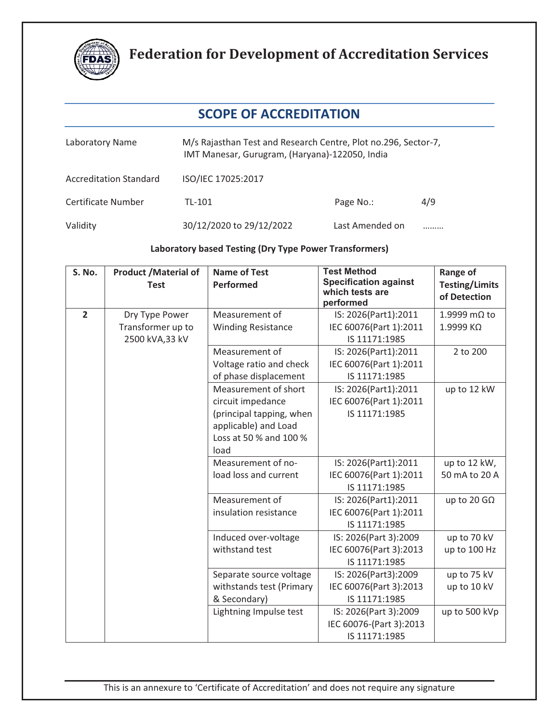

### **SCOPE OF ACCREDITATION**

| Laboratory Name               | M/s Rajasthan Test and Research Centre, Plot no.296, Sector-7,<br>IMT Manesar, Gurugram, (Haryana)-122050, India |                 |     |  |
|-------------------------------|------------------------------------------------------------------------------------------------------------------|-----------------|-----|--|
| <b>Accreditation Standard</b> | ISO/IEC 17025:2017                                                                                               |                 |     |  |
| Certificate Number            | TL-101                                                                                                           | Page No.:       | 4/9 |  |
| Validity                      | 30/12/2020 to 29/12/2022                                                                                         | Last Amended on |     |  |

#### **Laboratory based Testing (Dry Type Power Transformers)**

| S. No.         | <b>Product /Material of</b><br><b>Test</b> | <b>Name of Test</b><br><b>Performed</b>                                                                                         | <b>Test Method</b><br><b>Specification against</b><br>which tests are | Range of<br><b>Testing/Limits</b><br>of Detection |
|----------------|--------------------------------------------|---------------------------------------------------------------------------------------------------------------------------------|-----------------------------------------------------------------------|---------------------------------------------------|
| $\overline{2}$ | Dry Type Power                             | Measurement of                                                                                                                  | performed<br>IS: 2026(Part1):2011                                     | 1.9999 mΩ to                                      |
|                | Transformer up to<br>2500 kVA,33 kV        | <b>Winding Resistance</b>                                                                                                       | IEC 60076(Part 1):2011<br>IS 11171:1985                               | 1.9999 ΚΩ                                         |
|                |                                            | Measurement of<br>Voltage ratio and check<br>of phase displacement                                                              | IS: 2026(Part1):2011<br>IEC 60076(Part 1):2011<br>IS 11171:1985       | 2 to 200                                          |
|                |                                            | Measurement of short<br>circuit impedance<br>(principal tapping, when<br>applicable) and Load<br>Loss at 50 % and 100 %<br>load | IS: 2026(Part1):2011<br>IEC 60076(Part 1):2011<br>IS 11171:1985       | up to 12 kW                                       |
|                |                                            | Measurement of no-<br>load loss and current                                                                                     | IS: 2026(Part1):2011<br>IEC 60076(Part 1):2011<br>IS 11171:1985       | up to 12 kW,<br>50 mA to 20 A                     |
|                |                                            | Measurement of<br>insulation resistance                                                                                         | IS: 2026(Part1):2011<br>IEC 60076(Part 1):2011<br>IS 11171:1985       | up to 20 G $\Omega$                               |
|                |                                            | Induced over-voltage<br>withstand test                                                                                          | IS: 2026(Part 3):2009<br>IEC 60076(Part 3):2013<br>IS 11171:1985      | up to 70 kV<br>up to 100 Hz                       |
|                |                                            | Separate source voltage<br>withstands test (Primary<br>& Secondary)                                                             | IS: 2026(Part3):2009<br>IEC 60076(Part 3):2013<br>IS 11171:1985       | up to 75 kV<br>up to 10 kV                        |
|                |                                            | Lightning Impulse test                                                                                                          | IS: 2026(Part 3):2009<br>IEC 60076-(Part 3):2013<br>IS 11171:1985     | up to 500 kVp                                     |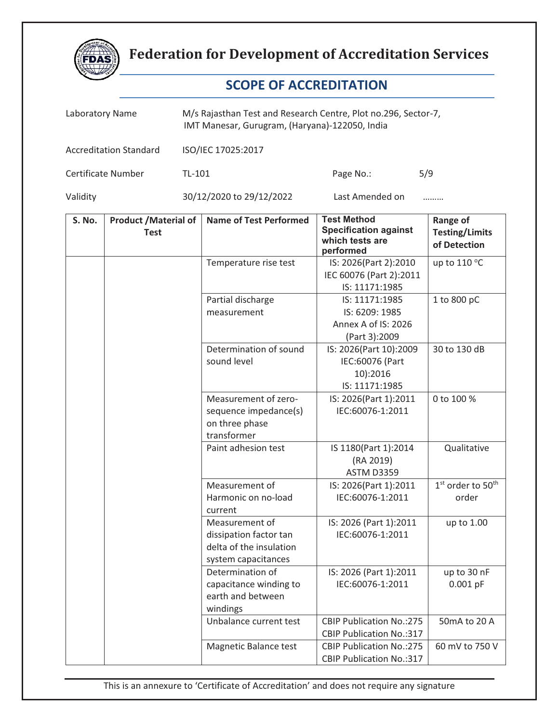

### **SCOPE OF ACCREDITATION**

|          | M/s Rajasthan Test and Research Centre, Plot no.296, Sector-7,<br>Laboratory Name<br>IMT Manesar, Gurugram, (Haryana)-122050, India |                                                                                            |                                                                                    |                                                          |
|----------|-------------------------------------------------------------------------------------------------------------------------------------|--------------------------------------------------------------------------------------------|------------------------------------------------------------------------------------|----------------------------------------------------------|
|          | <b>Accreditation Standard</b>                                                                                                       | ISO/IEC 17025:2017                                                                         |                                                                                    |                                                          |
|          | Certificate Number                                                                                                                  | TL-101                                                                                     | 5/9<br>Page No.:                                                                   |                                                          |
| Validity |                                                                                                                                     | 30/12/2020 to 29/12/2022                                                                   | Last Amended on                                                                    |                                                          |
| S. No.   | <b>Product / Material of</b><br><b>Test</b>                                                                                         | <b>Name of Test Performed</b>                                                              | <b>Test Method</b><br><b>Specification against</b><br>which tests are<br>performed | <b>Range of</b><br><b>Testing/Limits</b><br>of Detection |
|          |                                                                                                                                     | Temperature rise test                                                                      | IS: 2026(Part 2):2010<br>IEC 60076 (Part 2):2011<br>IS: 11171:1985                 | up to 110 °C                                             |
|          |                                                                                                                                     | Partial discharge<br>measurement                                                           | IS: 11171:1985<br>IS: 6209: 1985<br>Annex A of IS: 2026<br>(Part 3):2009           | 1 to 800 pC                                              |
|          |                                                                                                                                     | Determination of sound<br>sound level                                                      | IS: 2026(Part 10):2009<br>IEC:60076 (Part<br>10):2016<br>IS: 11171:1985            | 30 to 130 dB                                             |
|          |                                                                                                                                     | Measurement of zero-<br>sequence impedance(s)<br>on three phase<br>transformer             | IS: 2026(Part 1):2011<br>IEC:60076-1:2011                                          | 0 to 100 %                                               |
|          |                                                                                                                                     | Paint adhesion test                                                                        | IS 1180(Part 1):2014<br>(RA 2019)<br><b>ASTM D3359</b>                             | Qualitative                                              |
|          |                                                                                                                                     | Measurement of<br>Harmonic on no-load<br>current                                           | IS: 2026(Part 1):2011<br>IEC:60076-1:2011                                          | 1st order to 50 <sup>th</sup><br>order                   |
|          |                                                                                                                                     | Measurement of<br>dissipation factor tan<br>delta of the insulation<br>system capacitances | IS: 2026 (Part 1):2011<br>IEC:60076-1:2011                                         | up to 1.00                                               |
|          |                                                                                                                                     | Determination of<br>capacitance winding to<br>earth and between<br>windings                | IS: 2026 (Part 1):2011<br>IEC:60076-1:2011                                         | up to 30 nF<br>$0.001$ pF                                |
|          |                                                                                                                                     | Unbalance current test                                                                     | <b>CBIP Publication No.:275</b><br><b>CBIP Publication No.:317</b>                 | 50mA to 20 A                                             |
|          |                                                                                                                                     | Magnetic Balance test                                                                      | <b>CBIP Publication No.:275</b><br><b>CBIP Publication No.:317</b>                 | 60 mV to 750 V                                           |

This is an annexure to 'Certificate of Accreditation' and does not require any signature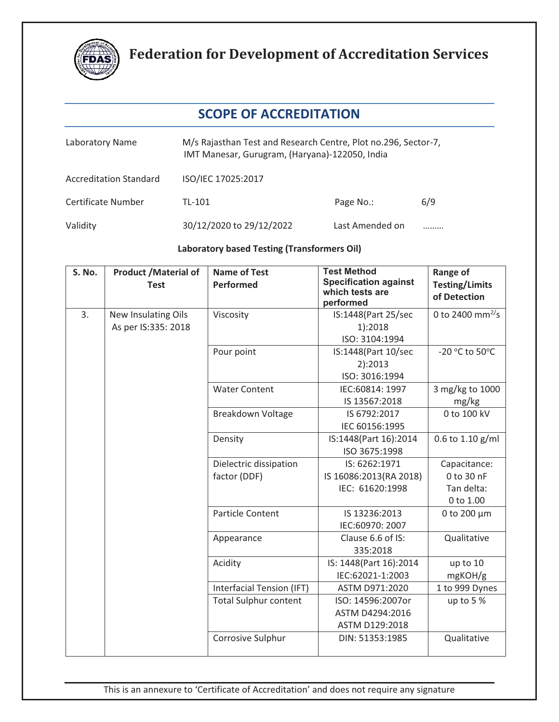

### **SCOPE OF ACCREDITATION**

| Laboratory Name               | M/s Rajasthan Test and Research Centre, Plot no.296, Sector-7,<br>IMT Manesar, Gurugram, (Haryana)-122050, India |                 |     |  |
|-------------------------------|------------------------------------------------------------------------------------------------------------------|-----------------|-----|--|
| <b>Accreditation Standard</b> | ISO/IEC 17025:2017                                                                                               |                 |     |  |
| Certificate Number            | TL-101                                                                                                           | Page No.:       | 6/9 |  |
| Validity                      | 30/12/2020 to 29/12/2022                                                                                         | Last Amended on |     |  |

#### **Laboratory based Testing (Transformers Oil)**

| S. No. | <b>Product /Material of</b><br><b>Test</b> | <b>Name of Test</b><br><b>Performed</b> | <b>Test Method</b><br><b>Specification against</b><br>which tests are<br>performed | Range of<br><b>Testing/Limits</b><br>of Detection |
|--------|--------------------------------------------|-----------------------------------------|------------------------------------------------------------------------------------|---------------------------------------------------|
| 3.     | New Insulating Oils                        | Viscosity                               | IS:1448(Part 25/sec                                                                | 0 to 2400 mm <sup>2/</sup> s                      |
|        | As per IS:335: 2018                        |                                         | 1):2018                                                                            |                                                   |
|        |                                            |                                         | ISO: 3104:1994                                                                     |                                                   |
|        |                                            | Pour point                              | IS:1448(Part 10/sec                                                                | -20 °C to 50°C                                    |
|        |                                            |                                         | 2):2013                                                                            |                                                   |
|        |                                            |                                         | ISO: 3016:1994                                                                     |                                                   |
|        |                                            | <b>Water Content</b>                    | IEC:60814: 1997                                                                    | 3 mg/kg to 1000                                   |
|        |                                            |                                         | IS 13567:2018                                                                      | mg/kg                                             |
|        |                                            | Breakdown Voltage                       | IS 6792:2017                                                                       | 0 to 100 kV                                       |
|        |                                            |                                         | IEC 60156:1995                                                                     |                                                   |
|        |                                            | Density                                 | IS:1448(Part 16):2014                                                              | 0.6 to 1.10 g/ml                                  |
|        |                                            |                                         | ISO 3675:1998                                                                      |                                                   |
|        |                                            | Dielectric dissipation                  | IS: 6262:1971                                                                      | Capacitance:                                      |
|        |                                            | factor (DDF)                            | IS 16086:2013(RA 2018)                                                             | 0 to 30 nF                                        |
|        |                                            |                                         | IEC: 61620:1998                                                                    | Tan delta:                                        |
|        |                                            |                                         |                                                                                    | 0 to 1.00                                         |
|        |                                            | <b>Particle Content</b>                 | IS 13236:2013                                                                      | 0 to 200 µm                                       |
|        |                                            |                                         | IEC:60970: 2007                                                                    |                                                   |
|        |                                            | Appearance                              | Clause 6.6 of IS:                                                                  | Qualitative                                       |
|        |                                            |                                         | 335:2018                                                                           |                                                   |
|        |                                            | Acidity                                 | IS: 1448(Part 16):2014                                                             | up to 10                                          |
|        |                                            |                                         | IEC:62021-1:2003                                                                   | mgKOH/g                                           |
|        |                                            | Interfacial Tension (IFT)               | ASTM D971:2020                                                                     | 1 to 999 Dynes                                    |
|        |                                            | <b>Total Sulphur content</b>            | ISO: 14596:2007or                                                                  | up to 5 %                                         |
|        |                                            |                                         | ASTM D4294:2016                                                                    |                                                   |
|        |                                            |                                         | ASTM D129:2018                                                                     |                                                   |
|        |                                            | Corrosive Sulphur                       | DIN: 51353:1985                                                                    | Qualitative                                       |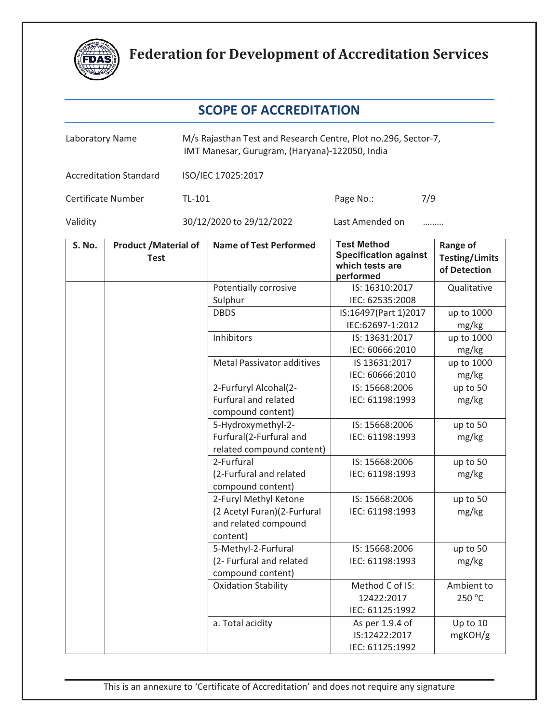

| Laboratory Name |                                            | M/s Rajasthan Test and Research Centre, Plot no.296, Sector-7,<br>IMT Manesar, Gurugram, (Haryana)-122050, India |                                                                                          |                                                                                    |                                                          |
|-----------------|--------------------------------------------|------------------------------------------------------------------------------------------------------------------|------------------------------------------------------------------------------------------|------------------------------------------------------------------------------------|----------------------------------------------------------|
|                 | <b>Accreditation Standard</b>              |                                                                                                                  | ISO/IEC 17025:2017                                                                       |                                                                                    |                                                          |
|                 | Certificate Number                         | TL-101                                                                                                           |                                                                                          | 7/9<br>Page No.:                                                                   |                                                          |
| Validity        |                                            |                                                                                                                  | 30/12/2020 to 29/12/2022                                                                 | Last Amended on<br>                                                                |                                                          |
| S. No.          | <b>Product /Material of</b><br><b>Test</b> |                                                                                                                  | <b>Name of Test Performed</b>                                                            | <b>Test Method</b><br><b>Specification against</b><br>which tests are<br>performed | <b>Range of</b><br><b>Testing/Limits</b><br>of Detection |
|                 |                                            |                                                                                                                  | Potentially corrosive<br>Sulphur                                                         | IS: 16310:2017<br>IEC: 62535:2008                                                  | Qualitative                                              |
|                 |                                            |                                                                                                                  | <b>DBDS</b>                                                                              | IS:16497(Part 1)2017<br>IEC:62697-1:2012                                           | up to 1000<br>mg/kg                                      |
|                 |                                            |                                                                                                                  | Inhibitors                                                                               | IS: 13631:2017<br>IEC: 60666:2010                                                  | up to 1000<br>mg/kg                                      |
|                 |                                            |                                                                                                                  | <b>Metal Passivator additives</b>                                                        | IS 13631:2017<br>IEC: 60666:2010                                                   | up to 1000<br>mg/kg                                      |
|                 |                                            |                                                                                                                  | 2-Furfuryl Alcohal(2-<br><b>Furfural and related</b><br>compound content)                | IS: 15668:2006<br>IEC: 61198:1993                                                  | up to 50<br>mg/kg                                        |
|                 |                                            |                                                                                                                  | 5-Hydroxymethyl-2-<br>Furfural(2-Furfural and<br>related compound content)               | IS: 15668:2006<br>IEC: 61198:1993                                                  | up to 50<br>mg/kg                                        |
|                 |                                            |                                                                                                                  | 2-Furfural<br>(2-Furfural and related<br>compound content)                               | IS: 15668:2006<br>IEC: 61198:1993                                                  | up to 50<br>mg/kg                                        |
|                 |                                            |                                                                                                                  | 2-Furyl Methyl Ketone<br>(2 Acetyl Furan)(2-Furfural<br>and related compound<br>content) | IS: 15668:2006<br>IEC: 61198:1993                                                  | up to 50<br>mg/kg                                        |
|                 |                                            |                                                                                                                  | 5-Methyl-2-Furfural<br>(2- Furfural and related<br>compound content)                     | IS: 15668:2006<br>IEC: 61198:1993                                                  | up to 50<br>mg/kg                                        |
|                 |                                            |                                                                                                                  | <b>Oxidation Stability</b>                                                               | Method C of IS:<br>12422:2017<br>IEC: 61125:1992                                   | Ambient to<br>250 °C                                     |
|                 |                                            |                                                                                                                  | a. Total acidity                                                                         | As per 1.9.4 of<br>IS:12422:2017<br>IEC: 61125:1992                                | Up to 10<br>mgKOH/g                                      |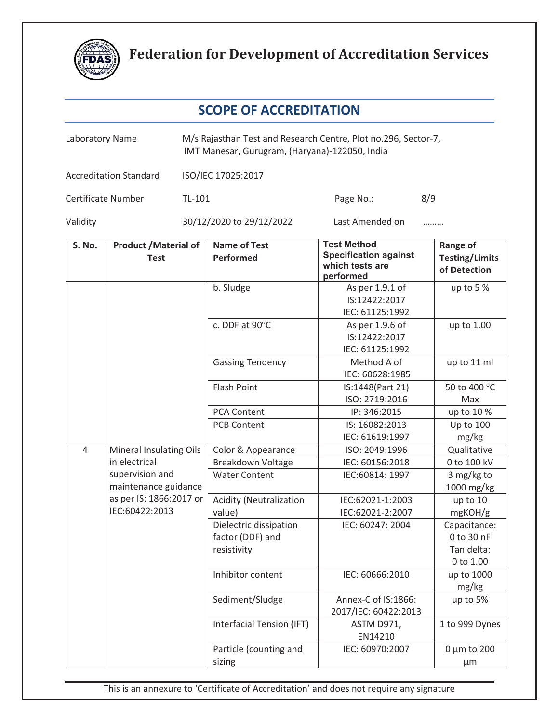

| Laboratory Name |                                                           | M/s Rajasthan Test and Research Centre, Plot no.296, Sector-7,<br>IMT Manesar, Gurugram, (Haryana)-122050, India |                                                                                    |                                                          |  |
|-----------------|-----------------------------------------------------------|------------------------------------------------------------------------------------------------------------------|------------------------------------------------------------------------------------|----------------------------------------------------------|--|
|                 | <b>Accreditation Standard</b>                             | ISO/IEC 17025:2017                                                                                               |                                                                                    |                                                          |  |
|                 | Certificate Number                                        | TL-101                                                                                                           | Page No.:                                                                          | 8/9                                                      |  |
| Validity        |                                                           | 30/12/2020 to 29/12/2022                                                                                         | Last Amended on                                                                    |                                                          |  |
| S. No.          | <b>Product / Material of</b><br><b>Test</b>               | <b>Name of Test</b><br><b>Performed</b>                                                                          | <b>Test Method</b><br><b>Specification against</b><br>which tests are<br>performed | <b>Range of</b><br><b>Testing/Limits</b><br>of Detection |  |
|                 |                                                           | b. Sludge                                                                                                        | As per 1.9.1 of<br>IS:12422:2017<br>IEC: 61125:1992                                | up to $5%$                                               |  |
|                 |                                                           | c. DDF at 90°C                                                                                                   | As per 1.9.6 of<br>IS:12422:2017<br>IEC: 61125:1992                                | up to 1.00                                               |  |
|                 |                                                           | <b>Gassing Tendency</b>                                                                                          | Method A of<br>IEC: 60628:1985                                                     | up to 11 ml                                              |  |
|                 |                                                           | <b>Flash Point</b>                                                                                               | IS:1448(Part 21)<br>ISO: 2719:2016                                                 | 50 to 400 °C<br>Max                                      |  |
|                 |                                                           | <b>PCA Content</b>                                                                                               | IP: 346:2015                                                                       | up to 10 %                                               |  |
|                 |                                                           | <b>PCB Content</b>                                                                                               | IS: 16082:2013<br>IEC: 61619:1997                                                  | Up to 100<br>mg/kg                                       |  |
| $\overline{4}$  | <b>Mineral Insulating Oils</b>                            | Color & Appearance                                                                                               | ISO: 2049:1996                                                                     | Qualitative                                              |  |
|                 | in electrical                                             | Breakdown Voltage                                                                                                | IEC: 60156:2018                                                                    | 0 to 100 kV                                              |  |
|                 | supervision and<br>maintenance guidance                   | <b>Water Content</b>                                                                                             | IEC:60814: 1997                                                                    | 3 mg/kg to<br>1000 mg/kg                                 |  |
|                 | as per IS: 1866:2017 or                                   | <b>Acidity (Neutralization</b>                                                                                   | IEC:62021-1:2003                                                                   | up to 10                                                 |  |
|                 | IEC:60422:2013                                            | value)                                                                                                           | IEC:62021-2:2007                                                                   | mgKOH/g                                                  |  |
|                 | Dielectric dissipation<br>factor (DDF) and<br>resistivity | IEC: 60247: 2004                                                                                                 | Capacitance:<br>0 to 30 nF<br>Tan delta:<br>0 to 1.00                              |                                                          |  |
|                 |                                                           | Inhibitor content                                                                                                | IEC: 60666:2010                                                                    | up to 1000<br>mg/kg                                      |  |
|                 |                                                           | Sediment/Sludge                                                                                                  | Annex-C of IS:1866:<br>2017/IEC: 60422:2013                                        | up to 5%                                                 |  |
|                 |                                                           | Interfacial Tension (IFT)                                                                                        | ASTM D971,<br>EN14210                                                              | 1 to 999 Dynes                                           |  |
|                 |                                                           | Particle (counting and<br>sizing                                                                                 | IEC: 60970:2007                                                                    | $0 \mu m$ to 200<br>$\mu$ m                              |  |